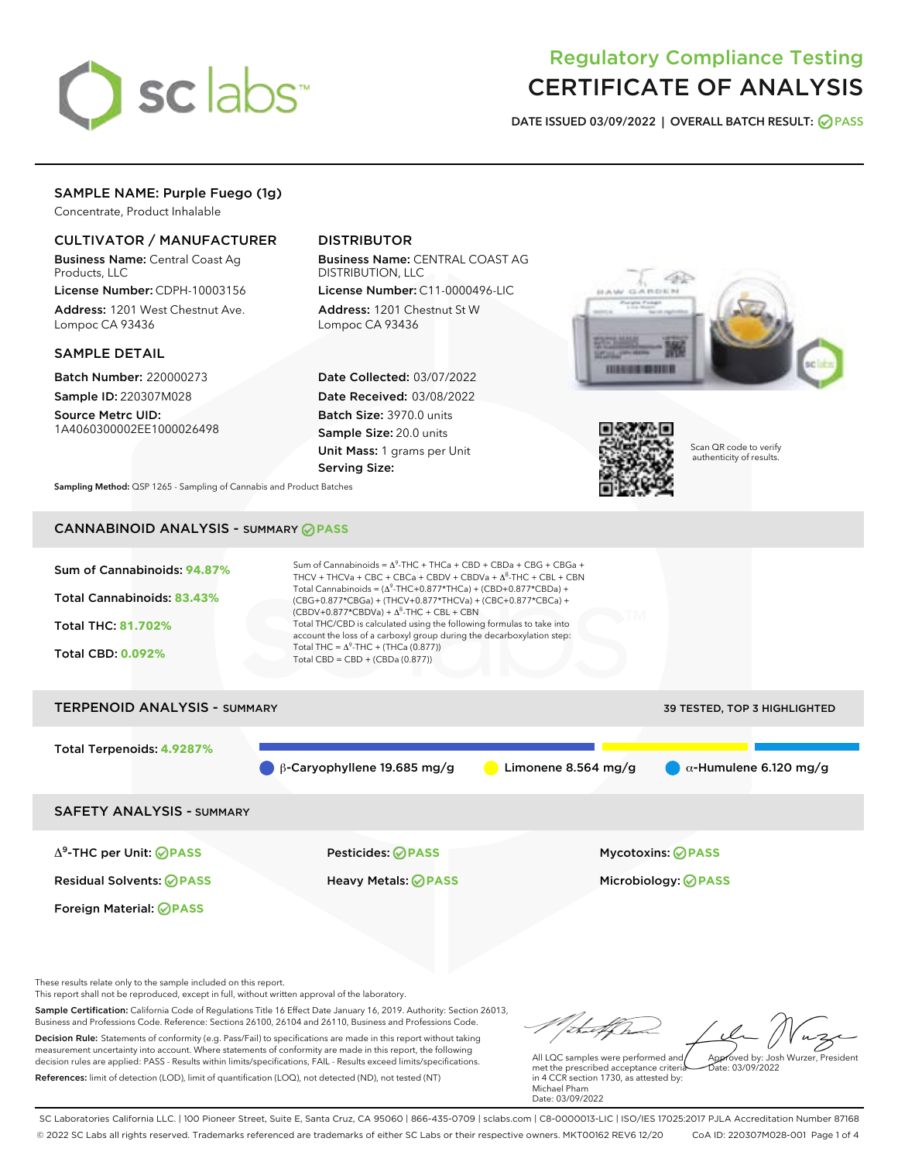

# Regulatory Compliance Testing CERTIFICATE OF ANALYSIS

DATE ISSUED 03/09/2022 | OVERALL BATCH RESULT: @ PASS

## SAMPLE NAME: Purple Fuego (1g)

Concentrate, Product Inhalable

## CULTIVATOR / MANUFACTURER

Business Name: Central Coast Ag Products, LLC

License Number: CDPH-10003156 Address: 1201 West Chestnut Ave. Lompoc CA 93436

#### SAMPLE DETAIL

Batch Number: 220000273 Sample ID: 220307M028

Source Metrc UID: 1A4060300002EE1000026498

## DISTRIBUTOR

Business Name: CENTRAL COAST AG DISTRIBUTION, LLC

License Number: C11-0000496-LIC Address: 1201 Chestnut St W Lompoc CA 93436

Date Collected: 03/07/2022 Date Received: 03/08/2022 Batch Size: 3970.0 units Sample Size: 20.0 units Unit Mass: 1 grams per Unit Serving Size:





Scan QR code to verify authenticity of results.

Sampling Method: QSP 1265 - Sampling of Cannabis and Product Batches

## CANNABINOID ANALYSIS - SUMMARY **PASS**



Decision Rule: Statements of conformity (e.g. Pass/Fail) to specifications are made in this report without taking measurement uncertainty into account. Where statements of conformity are made in this report, the following decision rules are applied: PASS - Results within limits/specifications, FAIL - Results exceed limits/specifications. References: limit of detection (LOD), limit of quantification (LOQ), not detected (ND), not tested (NT)

All LQC samples were performed and Approved by: Josh Wurzer, President  $\frac{1}{2}$ ate: 03/09/2022

met the prescribed acceptance criteria in 4 CCR section 1730, as attested by: Michael Pham Date: 03/09/2022

SC Laboratories California LLC. | 100 Pioneer Street, Suite E, Santa Cruz, CA 95060 | 866-435-0709 | sclabs.com | C8-0000013-LIC | ISO/IES 17025:2017 PJLA Accreditation Number 87168 © 2022 SC Labs all rights reserved. Trademarks referenced are trademarks of either SC Labs or their respective owners. MKT00162 REV6 12/20 CoA ID: 220307M028-001 Page 1 of 4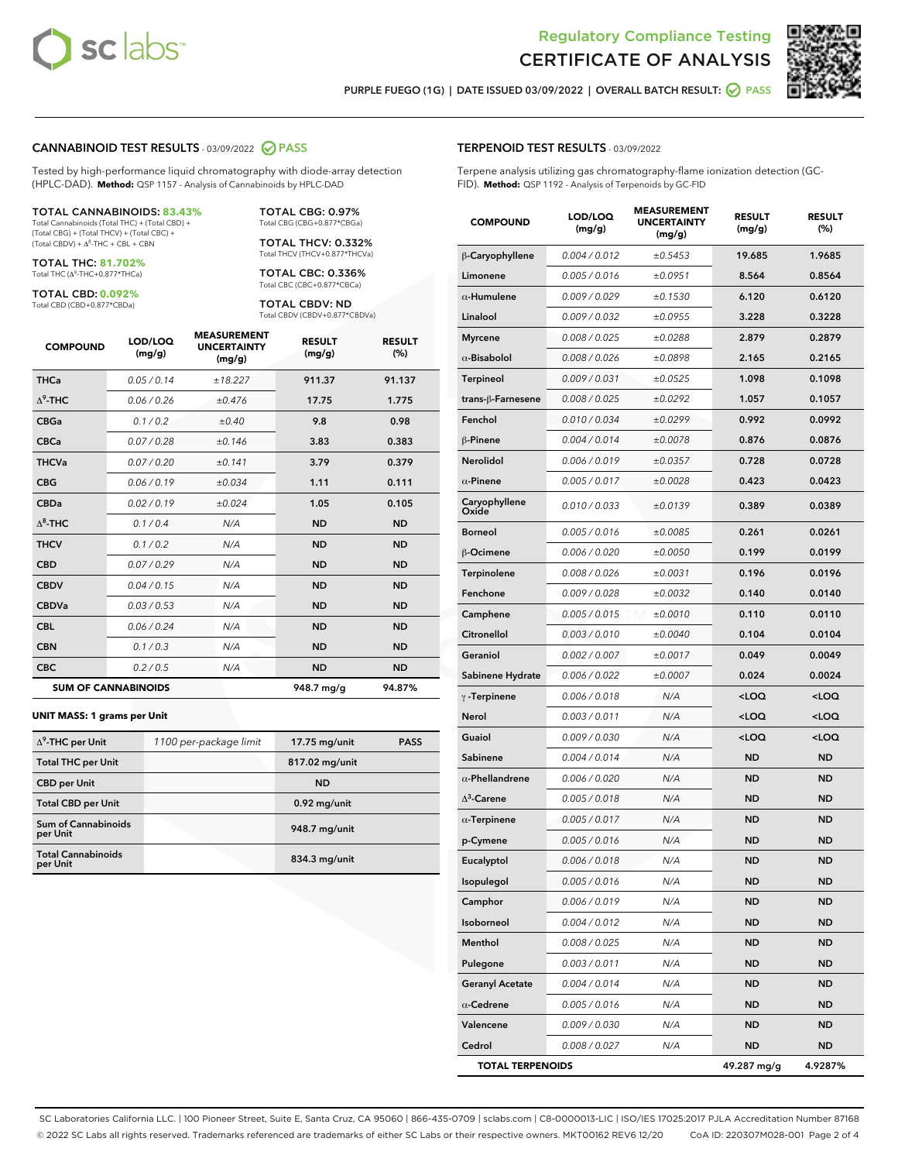



PURPLE FUEGO (1G) | DATE ISSUED 03/09/2022 | OVERALL BATCH RESULT: @ PASS

#### CANNABINOID TEST RESULTS - 03/09/2022 2 PASS

Tested by high-performance liquid chromatography with diode-array detection (HPLC-DAD). **Method:** QSP 1157 - Analysis of Cannabinoids by HPLC-DAD

#### TOTAL CANNABINOIDS: **83.43%**

Total Cannabinoids (Total THC) + (Total CBD) + (Total CBG) + (Total THCV) + (Total CBC) +  $(Total CBDV) +  $\Delta^8$ -THC + CBL + CBN$ 

TOTAL THC: **81.702%** Total THC (Δ<sup>9</sup> -THC+0.877\*THCa)

TOTAL CBD: **0.092%** Total CBD (CBD+0.877\*CBDa)

TOTAL CBC: 0.336% Total CBC (CBC+0.877\*CBCa)

> TOTAL CBDV: ND Total CBDV (CBDV+0.877\*CBDVa)

TOTAL CBG: 0.97% Total CBG (CBG+0.877\*CBGa) TOTAL THCV: 0.332% Total THCV (THCV+0.877\*THCVa)

| <b>COMPOUND</b>  | LOD/LOQ<br>(mg/g)          | <b>MEASUREMENT</b><br><b>UNCERTAINTY</b><br>(mg/g) | <b>RESULT</b><br>(mg/g) | <b>RESULT</b><br>(%) |
|------------------|----------------------------|----------------------------------------------------|-------------------------|----------------------|
| <b>THCa</b>      | 0.05/0.14                  | ±18.227                                            | 911.37                  | 91.137               |
| $\Delta^9$ -THC  | 0.06/0.26                  | ±0.476                                             | 17.75                   | 1.775                |
| <b>CBGa</b>      | 0.1 / 0.2                  | ±0.40                                              | 9.8                     | 0.98                 |
| <b>CBCa</b>      | 0.07 / 0.28                | ±0.146                                             | 3.83                    | 0.383                |
| <b>THCVa</b>     | 0.07/0.20                  | ±0.141                                             | 3.79                    | 0.379                |
| <b>CBG</b>       | 0.06/0.19                  | ±0.034                                             | 1.11                    | 0.111                |
| <b>CBDa</b>      | 0.02/0.19                  | ±0.024                                             | 1.05                    | 0.105                |
| $\Lambda^8$ -THC | 0.1/0.4                    | N/A                                                | <b>ND</b>               | <b>ND</b>            |
| <b>THCV</b>      | 0.1/0.2                    | N/A                                                | <b>ND</b>               | <b>ND</b>            |
| <b>CBD</b>       | 0.07/0.29                  | N/A                                                | <b>ND</b>               | <b>ND</b>            |
| <b>CBDV</b>      | 0.04 / 0.15                | N/A                                                | <b>ND</b>               | <b>ND</b>            |
| <b>CBDVa</b>     | 0.03/0.53                  | N/A                                                | <b>ND</b>               | <b>ND</b>            |
| <b>CBL</b>       | 0.06 / 0.24                | N/A                                                | <b>ND</b>               | <b>ND</b>            |
| <b>CBN</b>       | 0.1/0.3                    | N/A                                                | <b>ND</b>               | <b>ND</b>            |
| <b>CBC</b>       | 0.2 / 0.5                  | N/A                                                | <b>ND</b>               | <b>ND</b>            |
|                  | <b>SUM OF CANNABINOIDS</b> |                                                    | 948.7 mg/g              | 94.87%               |

#### **UNIT MASS: 1 grams per Unit**

| $\Delta^9$ -THC per Unit               | 1100 per-package limit | 17.75 mg/unit  | <b>PASS</b> |
|----------------------------------------|------------------------|----------------|-------------|
| <b>Total THC per Unit</b>              |                        | 817.02 mg/unit |             |
| <b>CBD</b> per Unit                    |                        | <b>ND</b>      |             |
| <b>Total CBD per Unit</b>              |                        | $0.92$ mg/unit |             |
| <b>Sum of Cannabinoids</b><br>per Unit |                        | 948.7 mg/unit  |             |
| <b>Total Cannabinoids</b><br>per Unit  |                        | 834.3 mg/unit  |             |

#### TERPENOID TEST RESULTS - 03/09/2022

Terpene analysis utilizing gas chromatography-flame ionization detection (GC-FID). **Method:** QSP 1192 - Analysis of Terpenoids by GC-FID

| <b>COMPOUND</b>         | LOD/LOQ<br>(mg/g) | <b>MEASUREMENT</b><br><b>UNCERTAINTY</b><br>(mg/g) | <b>RESULT</b><br>(mg/g)                         | <b>RESULT</b><br>$(\%)$ |
|-------------------------|-------------------|----------------------------------------------------|-------------------------------------------------|-------------------------|
| β-Caryophyllene         | 0.004 / 0.012     | ±0.5453                                            | 19.685                                          | 1.9685                  |
| Limonene                | 0.005 / 0.016     | ±0.0951                                            | 8.564                                           | 0.8564                  |
| $\alpha$ -Humulene      | 0.009/0.029       | ±0.1530                                            | 6.120                                           | 0.6120                  |
| Linalool                | 0.009 / 0.032     | ±0.0955                                            | 3.228                                           | 0.3228                  |
| <b>Myrcene</b>          | 0.008 / 0.025     | ±0.0288                                            | 2.879                                           | 0.2879                  |
| $\alpha$ -Bisabolol     | 0.008 / 0.026     | ±0.0898                                            | 2.165                                           | 0.2165                  |
| <b>Terpineol</b>        | 0.009 / 0.031     | ±0.0525                                            | 1.098                                           | 0.1098                  |
| trans-ß-Farnesene       | 0.008 / 0.025     | ±0.0292                                            | 1.057                                           | 0.1057                  |
| Fenchol                 | 0.010 / 0.034     | ±0.0299                                            | 0.992                                           | 0.0992                  |
| β-Pinene                | 0.004 / 0.014     | ±0.0078                                            | 0.876                                           | 0.0876                  |
| Nerolidol               | 0.006 / 0.019     | ±0.0357                                            | 0.728                                           | 0.0728                  |
| $\alpha$ -Pinene        | 0.005 / 0.017     | ±0.0028                                            | 0.423                                           | 0.0423                  |
| Caryophyllene<br>Oxide  | 0.010 / 0.033     | ±0.0139                                            | 0.389                                           | 0.0389                  |
| <b>Borneol</b>          | 0.005 / 0.016     | ±0.0085                                            | 0.261                                           | 0.0261                  |
| β-Ocimene               | 0.006 / 0.020     | ±0.0050                                            | 0.199                                           | 0.0199                  |
| <b>Terpinolene</b>      | 0.008 / 0.026     | ±0.0031                                            | 0.196                                           | 0.0196                  |
| Fenchone                | 0.009 / 0.028     | ±0.0032                                            | 0.140                                           | 0.0140                  |
| Camphene                | 0.005 / 0.015     | ±0.0010                                            | 0.110                                           | 0.0110                  |
| Citronellol             | 0.003 / 0.010     | ±0.0040                                            | 0.104                                           | 0.0104                  |
| Geraniol                | 0.002 / 0.007     | ±0.0017                                            | 0.049                                           | 0.0049                  |
| Sabinene Hydrate        | 0.006 / 0.022     | ±0.0007                                            | 0.024                                           | 0.0024                  |
| $\gamma$ -Terpinene     | 0.006 / 0.018     | N/A                                                | <loq< th=""><th><loq< th=""></loq<></th></loq<> | <loq< th=""></loq<>     |
| Nerol                   | 0.003 / 0.011     | N/A                                                | <loq< th=""><th><loq< th=""></loq<></th></loq<> | <loq< th=""></loq<>     |
| Guaiol                  | 0.009 / 0.030     | N/A                                                | <loq< th=""><th><loq< th=""></loq<></th></loq<> | <loq< th=""></loq<>     |
| Sabinene                | 0.004 / 0.014     | N/A                                                | <b>ND</b>                                       | <b>ND</b>               |
| $\alpha$ -Phellandrene  | 0.006 / 0.020     | N/A                                                | <b>ND</b>                                       | <b>ND</b>               |
| $\Delta^3$ -Carene      | 0.005 / 0.018     | N/A                                                | <b>ND</b>                                       | <b>ND</b>               |
| $\alpha$ -Terpinene     | 0.005 / 0.017     | N/A                                                | <b>ND</b>                                       | <b>ND</b>               |
| p-Cymene                | 0.005 / 0.016     | N/A                                                | <b>ND</b>                                       | ND                      |
| Eucalyptol              | 0.006 / 0.018     | N/A                                                | <b>ND</b>                                       | <b>ND</b>               |
| Isopulegol              | 0.005 / 0.016     | N/A                                                | ND                                              | ND                      |
| Camphor                 | 0.006 / 0.019     | N/A                                                | <b>ND</b>                                       | <b>ND</b>               |
| Isoborneol              | 0.004 / 0.012     | N/A                                                | <b>ND</b>                                       | ND                      |
| Menthol                 | 0.008 / 0.025     | N/A                                                | ND                                              | <b>ND</b>               |
| Pulegone                | 0.003 / 0.011     | N/A                                                | ND                                              | ND                      |
| <b>Geranyl Acetate</b>  | 0.004 / 0.014     | N/A                                                | <b>ND</b>                                       | ND                      |
| $\alpha$ -Cedrene       | 0.005 / 0.016     | N/A                                                | <b>ND</b>                                       | ND                      |
| Valencene               | 0.009 / 0.030     | N/A                                                | ND                                              | ND                      |
| Cedrol                  | 0.008 / 0.027     | N/A                                                | <b>ND</b>                                       | <b>ND</b>               |
| <b>TOTAL TERPENOIDS</b> |                   |                                                    | 49.287 mg/g                                     | 4.9287%                 |

SC Laboratories California LLC. | 100 Pioneer Street, Suite E, Santa Cruz, CA 95060 | 866-435-0709 | sclabs.com | C8-0000013-LIC | ISO/IES 17025:2017 PJLA Accreditation Number 87168 © 2022 SC Labs all rights reserved. Trademarks referenced are trademarks of either SC Labs or their respective owners. MKT00162 REV6 12/20 CoA ID: 220307M028-001 Page 2 of 4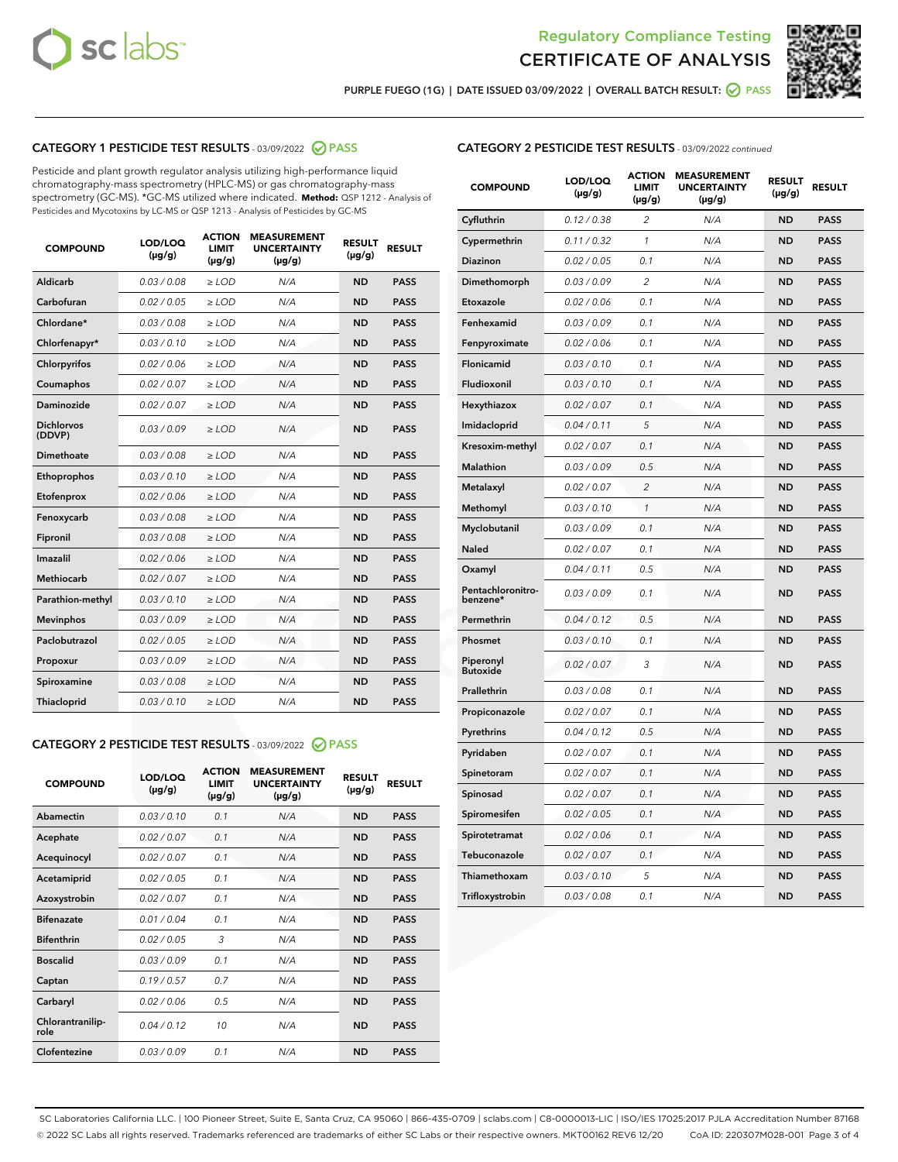



PURPLE FUEGO (1G) | DATE ISSUED 03/09/2022 | OVERALL BATCH RESULT:  $\bigcirc$  PASS

## CATEGORY 1 PESTICIDE TEST RESULTS - 03/09/2022 2 PASS

Pesticide and plant growth regulator analysis utilizing high-performance liquid chromatography-mass spectrometry (HPLC-MS) or gas chromatography-mass spectrometry (GC-MS). \*GC-MS utilized where indicated. **Method:** QSP 1212 - Analysis of Pesticides and Mycotoxins by LC-MS or QSP 1213 - Analysis of Pesticides by GC-MS

| <b>COMPOUND</b>             | LOD/LOQ<br>$(\mu g/g)$ | <b>ACTION</b><br>LIMIT<br>$(\mu g/g)$ | <b>MEASUREMENT</b><br><b>UNCERTAINTY</b><br>$(\mu g/g)$ | <b>RESULT</b><br>$(\mu g/g)$ | <b>RESULT</b> |
|-----------------------------|------------------------|---------------------------------------|---------------------------------------------------------|------------------------------|---------------|
| <b>Aldicarb</b>             | 0.03 / 0.08            | $\geq$ LOD                            | N/A                                                     | <b>ND</b>                    | <b>PASS</b>   |
| Carbofuran                  | 0.02 / 0.05            | $\ge$ LOD                             | N/A                                                     | <b>ND</b>                    | <b>PASS</b>   |
| Chlordane*                  | 0.03/0.08              | $>$ LOD                               | N/A                                                     | <b>ND</b>                    | <b>PASS</b>   |
| Chlorfenapyr*               | 0.03/0.10              | ≥ LOD                                 | N/A                                                     | <b>ND</b>                    | <b>PASS</b>   |
| Chlorpyrifos                | 0.02/0.06              | $>$ LOD                               | N/A                                                     | <b>ND</b>                    | <b>PASS</b>   |
| Coumaphos                   | 0.02 / 0.07            | $\ge$ LOD                             | N/A                                                     | <b>ND</b>                    | <b>PASS</b>   |
| Daminozide                  | 0.02 / 0.07            | ≥ LOD                                 | N/A                                                     | <b>ND</b>                    | <b>PASS</b>   |
| <b>Dichlorvos</b><br>(DDVP) | 0.03/0.09              | > LOD                                 | N/A                                                     | <b>ND</b>                    | <b>PASS</b>   |
| Dimethoate                  | 0.03 / 0.08            | $>$ LOD                               | N/A                                                     | <b>ND</b>                    | <b>PASS</b>   |
| Ethoprophos                 | 0.03/0.10              | $>$ LOD                               | N/A                                                     | <b>ND</b>                    | <b>PASS</b>   |
| Etofenprox                  | 0.02 / 0.06            | $\geq$ LOD                            | N/A                                                     | <b>ND</b>                    | <b>PASS</b>   |
| Fenoxycarb                  | 0.03/0.08              | $>$ LOD                               | N/A                                                     | <b>ND</b>                    | <b>PASS</b>   |
| Fipronil                    | 0.03 / 0.08            | $\ge$ LOD                             | N/A                                                     | <b>ND</b>                    | <b>PASS</b>   |
| Imazalil                    | 0.02 / 0.06            | $\geq$ LOD                            | N/A                                                     | <b>ND</b>                    | <b>PASS</b>   |
| <b>Methiocarb</b>           | 0.02 / 0.07            | $\ge$ LOD                             | N/A                                                     | <b>ND</b>                    | <b>PASS</b>   |
| Parathion-methyl            | 0.03/0.10              | $>$ LOD                               | N/A                                                     | <b>ND</b>                    | <b>PASS</b>   |
| <b>Mevinphos</b>            | 0.03/0.09              | $\ge$ LOD                             | N/A                                                     | <b>ND</b>                    | <b>PASS</b>   |
| Paclobutrazol               | 0.02 / 0.05            | $\ge$ LOD                             | N/A                                                     | <b>ND</b>                    | <b>PASS</b>   |
| Propoxur                    | 0.03/0.09              | $\geq$ LOD                            | N/A                                                     | <b>ND</b>                    | <b>PASS</b>   |
| Spiroxamine                 | 0.03 / 0.08            | $\ge$ LOD                             | N/A                                                     | <b>ND</b>                    | <b>PASS</b>   |
| Thiacloprid                 | 0.03/0.10              | $\geq$ LOD                            | N/A                                                     | <b>ND</b>                    | <b>PASS</b>   |

## CATEGORY 2 PESTICIDE TEST RESULTS - 03/09/2022 @ PASS

| <b>COMPOUND</b>          | LOD/LOO<br>$(\mu g/g)$ | <b>ACTION</b><br>LIMIT<br>$(\mu g/g)$ | <b>MEASUREMENT</b><br><b>UNCERTAINTY</b><br>$(\mu g/g)$ | <b>RESULT</b><br>$(\mu g/g)$ | <b>RESULT</b> |  |
|--------------------------|------------------------|---------------------------------------|---------------------------------------------------------|------------------------------|---------------|--|
| Abamectin                | 0.03/0.10              | 0.1                                   | N/A                                                     | <b>ND</b>                    | <b>PASS</b>   |  |
| Acephate                 | 0.02/0.07              | 0.1                                   | N/A                                                     | <b>ND</b>                    | <b>PASS</b>   |  |
| Acequinocyl              | 0.02/0.07              | 0.1                                   | N/A                                                     | <b>ND</b>                    | <b>PASS</b>   |  |
| Acetamiprid              | 0.02 / 0.05            | 0.1                                   | N/A                                                     | <b>ND</b>                    | <b>PASS</b>   |  |
| Azoxystrobin             | 0.02/0.07              | 0.1                                   | N/A                                                     | <b>ND</b>                    | <b>PASS</b>   |  |
| <b>Bifenazate</b>        | 0.01/0.04              | 0.1                                   | N/A                                                     | <b>ND</b>                    | <b>PASS</b>   |  |
| <b>Bifenthrin</b>        | 0.02/0.05              | 3                                     | N/A                                                     | <b>ND</b>                    | <b>PASS</b>   |  |
| <b>Boscalid</b>          | 0.03/0.09              | 0.1                                   | N/A                                                     | <b>ND</b>                    | <b>PASS</b>   |  |
| Captan                   | 0.19/0.57              | 0.7                                   | N/A                                                     | <b>ND</b>                    | <b>PASS</b>   |  |
| Carbaryl                 | 0.02/0.06              | 0.5                                   | N/A                                                     | <b>ND</b>                    | <b>PASS</b>   |  |
| Chlorantranilip-<br>role | 0.04/0.12              | 10                                    | N/A                                                     | <b>ND</b>                    | <b>PASS</b>   |  |
| Clofentezine             | 0.03/0.09              | 0.1                                   | N/A                                                     | <b>ND</b>                    | <b>PASS</b>   |  |

## CATEGORY 2 PESTICIDE TEST RESULTS - 03/09/2022 continued

| <b>COMPOUND</b>               | LOD/LOQ<br>(µg/g) | <b>ACTION</b><br><b>LIMIT</b><br>(µg/g) | <b>MEASUREMENT</b><br><b>UNCERTAINTY</b><br>$(\mu g/g)$ | <b>RESULT</b><br>(µg/g) | <b>RESULT</b> |
|-------------------------------|-------------------|-----------------------------------------|---------------------------------------------------------|-------------------------|---------------|
| Cyfluthrin                    | 0.12 / 0.38       | $\overline{c}$                          | N/A                                                     | <b>ND</b>               | <b>PASS</b>   |
| Cypermethrin                  | 0.11 / 0.32       | $\mathcal{I}$                           | N/A                                                     | <b>ND</b>               | <b>PASS</b>   |
| <b>Diazinon</b>               | 0.02 / 0.05       | 0.1                                     | N/A                                                     | <b>ND</b>               | <b>PASS</b>   |
| Dimethomorph                  | 0.03 / 0.09       | 2                                       | N/A                                                     | <b>ND</b>               | <b>PASS</b>   |
| Etoxazole                     | 0.02 / 0.06       | 0.1                                     | N/A                                                     | <b>ND</b>               | <b>PASS</b>   |
| Fenhexamid                    | 0.03 / 0.09       | 0.1                                     | N/A                                                     | <b>ND</b>               | <b>PASS</b>   |
| Fenpyroximate                 | 0.02 / 0.06       | 0.1                                     | N/A                                                     | <b>ND</b>               | <b>PASS</b>   |
| Flonicamid                    | 0.03 / 0.10       | 0.1                                     | N/A                                                     | <b>ND</b>               | <b>PASS</b>   |
| Fludioxonil                   | 0.03 / 0.10       | 0.1                                     | N/A                                                     | <b>ND</b>               | <b>PASS</b>   |
| Hexythiazox                   | 0.02 / 0.07       | 0.1                                     | N/A                                                     | <b>ND</b>               | <b>PASS</b>   |
| Imidacloprid                  | 0.04 / 0.11       | 5                                       | N/A                                                     | <b>ND</b>               | <b>PASS</b>   |
| Kresoxim-methyl               | 0.02 / 0.07       | 0.1                                     | N/A                                                     | <b>ND</b>               | <b>PASS</b>   |
| <b>Malathion</b>              | 0.03 / 0.09       | 0.5                                     | N/A                                                     | <b>ND</b>               | <b>PASS</b>   |
| Metalaxyl                     | 0.02 / 0.07       | $\overline{c}$                          | N/A                                                     | <b>ND</b>               | <b>PASS</b>   |
| Methomyl                      | 0.03 / 0.10       | 1                                       | N/A                                                     | <b>ND</b>               | <b>PASS</b>   |
| Myclobutanil                  | 0.03 / 0.09       | 0.1                                     | N/A                                                     | <b>ND</b>               | <b>PASS</b>   |
| Naled                         | 0.02 / 0.07       | 0.1                                     | N/A                                                     | <b>ND</b>               | <b>PASS</b>   |
| Oxamyl                        | 0.04 / 0.11       | 0.5                                     | N/A                                                     | <b>ND</b>               | <b>PASS</b>   |
| Pentachloronitro-<br>benzene* | 0.03 / 0.09       | 0.1                                     | N/A                                                     | <b>ND</b>               | <b>PASS</b>   |
| Permethrin                    | 0.04 / 0.12       | 0.5                                     | N/A                                                     | <b>ND</b>               | <b>PASS</b>   |
| Phosmet                       | 0.03 / 0.10       | 0.1                                     | N/A                                                     | <b>ND</b>               | <b>PASS</b>   |
| Piperonyl<br><b>Butoxide</b>  | 0.02 / 0.07       | 3                                       | N/A                                                     | <b>ND</b>               | <b>PASS</b>   |
| Prallethrin                   | 0.03 / 0.08       | 0.1                                     | N/A                                                     | <b>ND</b>               | <b>PASS</b>   |
| Propiconazole                 | 0.02 / 0.07       | 0.1                                     | N/A                                                     | <b>ND</b>               | <b>PASS</b>   |
| Pyrethrins                    | 0.04 / 0.12       | 0.5                                     | N/A                                                     | <b>ND</b>               | <b>PASS</b>   |
| Pyridaben                     | 0.02 / 0.07       | 0.1                                     | N/A                                                     | <b>ND</b>               | <b>PASS</b>   |
| Spinetoram                    | 0.02 / 0.07       | 0.1                                     | N/A                                                     | <b>ND</b>               | <b>PASS</b>   |
| Spinosad                      | 0.02 / 0.07       | 0.1                                     | N/A                                                     | <b>ND</b>               | <b>PASS</b>   |
| Spiromesifen                  | 0.02 / 0.05       | 0.1                                     | N/A                                                     | <b>ND</b>               | <b>PASS</b>   |
| Spirotetramat                 | 0.02 / 0.06       | 0.1                                     | N/A                                                     | <b>ND</b>               | <b>PASS</b>   |
| Tebuconazole                  | 0.02 / 0.07       | 0.1                                     | N/A                                                     | <b>ND</b>               | <b>PASS</b>   |
| Thiamethoxam                  | 0.03 / 0.10       | 5                                       | N/A                                                     | <b>ND</b>               | <b>PASS</b>   |
| Trifloxystrobin               | 0.03 / 0.08       | 0.1                                     | N/A                                                     | <b>ND</b>               | <b>PASS</b>   |

SC Laboratories California LLC. | 100 Pioneer Street, Suite E, Santa Cruz, CA 95060 | 866-435-0709 | sclabs.com | C8-0000013-LIC | ISO/IES 17025:2017 PJLA Accreditation Number 87168 © 2022 SC Labs all rights reserved. Trademarks referenced are trademarks of either SC Labs or their respective owners. MKT00162 REV6 12/20 CoA ID: 220307M028-001 Page 3 of 4